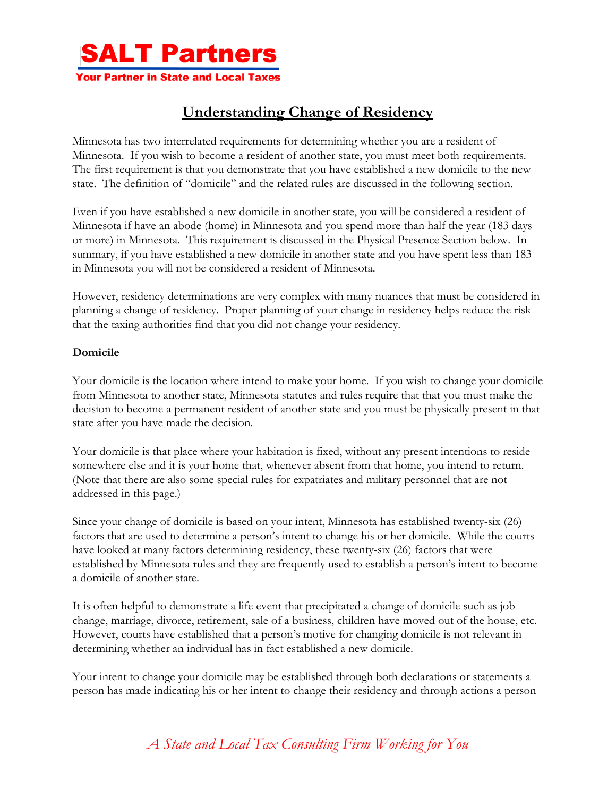

## **Understanding Change of Residency**

Minnesota has two interrelated requirements for determining whether you are a resident of Minnesota. If you wish to become a resident of another state, you must meet both requirements. The first requirement is that you demonstrate that you have established a new domicile to the new state. The definition of "domicile" and the related rules are discussed in the following section.

Even if you have established a new domicile in another state, you will be considered a resident of Minnesota if have an abode (home) in Minnesota and you spend more than half the year (183 days or more) in Minnesota. This requirement is discussed in the Physical Presence Section below. In summary, if you have established a new domicile in another state and you have spent less than 183 in Minnesota you will not be considered a resident of Minnesota.

However, residency determinations are very complex with many nuances that must be considered in planning a change of residency. Proper planning of your change in residency helps reduce the risk that the taxing authorities find that you did not change your residency.

## **Domicile**

Your domicile is the location where intend to make your home. If you wish to change your domicile from Minnesota to another state, Minnesota statutes and rules require that that you must make the decision to become a permanent resident of another state and you must be physically present in that state after you have made the decision.

Your domicile is that place where your habitation is fixed, without any present intentions to reside somewhere else and it is your home that, whenever absent from that home, you intend to return. (Note that there are also some special rules for expatriates and military personnel that are not addressed in this page.)

Since your change of domicile is based on your intent, Minnesota has established twenty-six (26) factors that are used to determine a person's intent to change his or her domicile. While the courts have looked at many factors determining residency, these twenty-six (26) factors that were established by Minnesota rules and they are frequently used to establish a person's intent to become a domicile of another state.

It is often helpful to demonstrate a life event that precipitated a change of domicile such as job change, marriage, divorce, retirement, sale of a business, children have moved out of the house, etc. However, courts have established that a person's motive for changing domicile is not relevant in determining whether an individual has in fact established a new domicile.

Your intent to change your domicile may be established through both declarations or statements a person has made indicating his or her intent to change their residency and through actions a person

*A State and Local Tax Consulting Firm Working for You*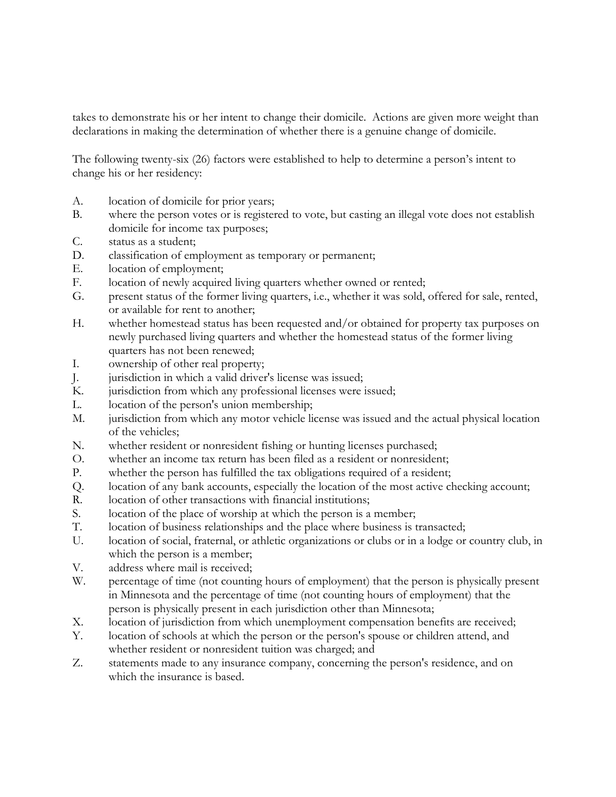takes to demonstrate his or her intent to change their domicile. Actions are given more weight than declarations in making the determination of whether there is a genuine change of domicile.

The following twenty-six (26) factors were established to help to determine a person's intent to change his or her residency:

- A. location of domicile for prior years;
- B. where the person votes or is registered to vote, but casting an illegal vote does not establish domicile for income tax purposes;
- C. status as a student;
- D. classification of employment as temporary or permanent;
- E. location of employment;
- F. location of newly acquired living quarters whether owned or rented;
- G. present status of the former living quarters, i.e., whether it was sold, offered for sale, rented, or available for rent to another;
- H. whether homestead status has been requested and/or obtained for property tax purposes on newly purchased living quarters and whether the homestead status of the former living quarters has not been renewed;
- I. ownership of other real property;
- J. jurisdiction in which a valid driver's license was issued;
- K. jurisdiction from which any professional licenses were issued;
- L. location of the person's union membership;
- M. jurisdiction from which any motor vehicle license was issued and the actual physical location of the vehicles;
- N. whether resident or nonresident fishing or hunting licenses purchased;
- O. whether an income tax return has been filed as a resident or nonresident;
- P. whether the person has fulfilled the tax obligations required of a resident;
- Q. location of any bank accounts, especially the location of the most active checking account;
- R. location of other transactions with financial institutions;
- S. location of the place of worship at which the person is a member;
- T. location of business relationships and the place where business is transacted;
- U. location of social, fraternal, or athletic organizations or clubs or in a lodge or country club, in which the person is a member;
- V. address where mail is received;
- W. percentage of time (not counting hours of employment) that the person is physically present in Minnesota and the percentage of time (not counting hours of employment) that the person is physically present in each jurisdiction other than Minnesota;
- X. location of jurisdiction from which unemployment compensation benefits are received;
- Y. location of schools at which the person or the person's spouse or children attend, and whether resident or nonresident tuition was charged; and
- Z. statements made to any insurance company, concerning the person's residence, and on which the insurance is based.